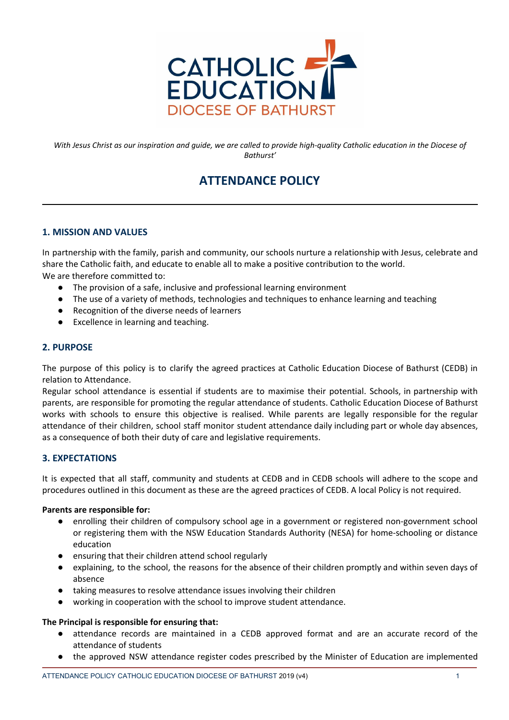

With Jesus Christ as our inspiration and guide, we are called to provide high-quality Catholic education in the Diocese of *Bathurst'*

# **ATTENDANCE POLICY**

# **1. MISSION AND VALUES**

In partnership with the family, parish and community, our schools nurture a relationship with Jesus, celebrate and share the Catholic faith, and educate to enable all to make a positive contribution to the world. We are therefore committed to:

- The provision of a safe, inclusive and professional learning environment
- The use of a variety of methods, technologies and techniques to enhance learning and teaching
- Recognition of the diverse needs of learners
- Excellence in learning and teaching.

# **2. PURPOSE**

The purpose of this policy is to clarify the agreed practices at Catholic Education Diocese of Bathurst (CEDB) in relation to Attendance.

Regular school attendance is essential if students are to maximise their potential. Schools, in partnership with parents, are responsible for promoting the regular attendance of students. Catholic Education Diocese of Bathurst works with schools to ensure this objective is realised. While parents are legally responsible for the regular attendance of their children, school staff monitor student attendance daily including part or whole day absences, as a consequence of both their duty of care and legislative requirements.

# **3. EXPECTATIONS**

It is expected that all staff, community and students at CEDB and in CEDB schools will adhere to the scope and procedures outlined in this document as these are the agreed practices of CEDB. A local Policy is not required.

## **Parents are responsible for:**

- enrolling their children of compulsory school age in a government or registered non-government school or registering them with the NSW Education Standards Authority (NESA) for home-schooling or distance education
- ensuring that their children attend school regularly
- explaining, to the school, the reasons for the absence of their children promptly and within seven days of absence
- taking measures to resolve attendance issues involving their children
- working in cooperation with the school to improve student attendance.

## **The Principal is responsible for ensuring that:**

- attendance records are maintained in a CEDB approved format and are an accurate record of the attendance of students
- the approved NSW attendance register codes prescribed by the Minister of Education are implemented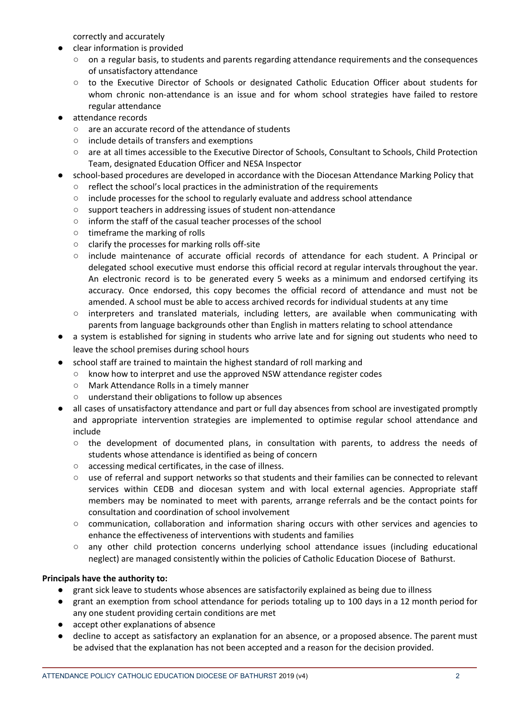correctly and accurately

- clear information is provided
	- on a regular basis, to students and parents regarding attendance requirements and the consequences of unsatisfactory attendance
	- to the Executive Director of Schools or designated Catholic Education Officer about students for whom chronic non-attendance is an issue and for whom school strategies have failed to restore regular attendance
- attendance records
	- are an accurate record of the attendance of students
	- include details of transfers and exemptions
	- are at all times accessible to the Executive Director of Schools, Consultant to Schools, Child Protection Team, designated Education Officer and NESA Inspector
- school-based procedures are developed in accordance with the Diocesan Attendance Marking Policy that
	- reflect the school's local practices in the administration of the requirements
	- include processes for the school to regularly evaluate and address school attendance
	- support teachers in addressing issues of student non-attendance
	- inform the staff of the casual teacher processes of the school
	- timeframe the marking of rolls
	- clarify the processes for marking rolls off-site
	- include maintenance of accurate official records of attendance for each student. A Principal or delegated school executive must endorse this official record at regular intervals throughout the year. An electronic record is to be generated every 5 weeks as a minimum and endorsed certifying its accuracy. Once endorsed, this copy becomes the official record of attendance and must not be amended. A school must be able to access archived records for individual students at any time
	- interpreters and translated materials, including letters, are available when communicating with parents from language backgrounds other than English in matters relating to school attendance
- a system is established for signing in students who arrive late and for signing out students who need to leave the school premises during school hours
- school staff are trained to maintain the highest standard of roll marking and
	- know how to interpret and use the approved NSW attendance register codes
	- Mark Attendance Rolls in a timely manner
	- understand their obligations to follow up absences
- all cases of unsatisfactory attendance and part or full day absences from school are investigated promptly and appropriate intervention strategies are implemented to optimise regular school attendance and include
	- the development of documented plans, in consultation with parents, to address the needs of students whose attendance is identified as being of concern
	- accessing medical certificates, in the case of illness.
	- use of referral and support networks so that students and their families can be connected to relevant services within CEDB and diocesan system and with local external agencies. Appropriate staff members may be nominated to meet with parents, arrange referrals and be the contact points for consultation and coordination of school involvement
	- communication, collaboration and information sharing occurs with other services and agencies to enhance the effectiveness of interventions with students and families
	- any other child protection concerns underlying school attendance issues (including educational neglect) are managed consistently within the policies of Catholic Education Diocese of Bathurst.

# **Principals have the authority to:**

- grant sick leave to students whose absences are satisfactorily explained as being due to illness
- grant an exemption from school attendance for periods totaling up to 100 days in a 12 month period for any one student providing certain conditions are met
- accept other explanations of absence
- decline to accept as satisfactory an explanation for an absence, or a proposed absence. The parent must be advised that the explanation has not been accepted and a reason for the decision provided.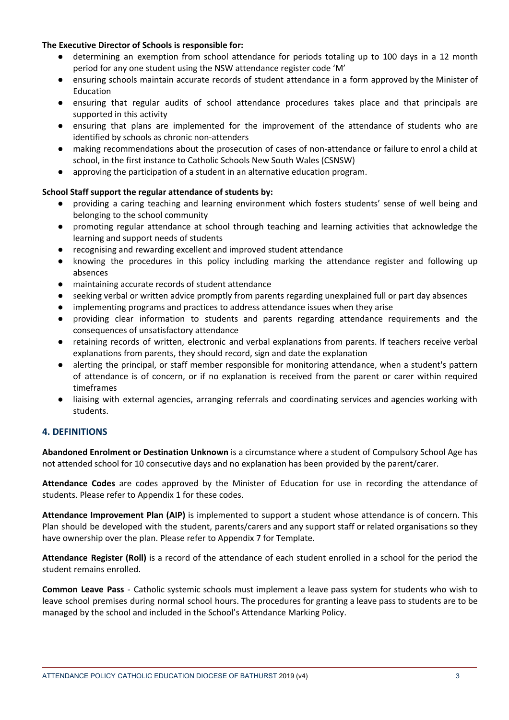## **The Executive Director of Schools is responsible for:**

- determining an exemption from school attendance for periods totaling up to 100 days in a 12 month period for any one student using the NSW attendance register code 'M'
- ensuring schools maintain accurate records of student attendance in a form approved by the Minister of Education
- ensuring that regular audits of school attendance procedures takes place and that principals are supported in this activity
- ensuring that plans are implemented for the improvement of the attendance of students who are identified by schools as chronic non-attenders
- making recommendations about the prosecution of cases of non-attendance or failure to enrol a child at school, in the first instance to Catholic Schools New South Wales (CSNSW)
- approving the participation of a student in an alternative education program.

# **School Staff support the regular attendance of students by:**

- providing a caring teaching and learning environment which fosters students' sense of well being and belonging to the school community
- promoting regular attendance at school through teaching and learning activities that acknowledge the learning and support needs of students
- recognising and rewarding excellent and improved student attendance
- knowing the procedures in this policy including marking the attendance register and following up absences
- maintaining accurate records of student attendance
- seeking verbal or written advice promptly from parents regarding unexplained full or part day absences
- implementing programs and practices to address attendance issues when they arise
- providing clear information to students and parents regarding attendance requirements and the consequences of unsatisfactory attendance
- retaining records of written, electronic and verbal explanations from parents. If teachers receive verbal explanations from parents, they should record, sign and date the explanation
- alerting the principal, or staff member responsible for monitoring attendance, when a student's pattern of attendance is of concern, or if no explanation is received from the parent or carer within required timeframes
- liaising with external agencies, arranging referrals and coordinating services and agencies working with students.

# **4. DEFINITIONS**

**Abandoned Enrolment or Destination Unknown** is a circumstance where a student of Compulsory School Age has not attended school for 10 consecutive days and no explanation has been provided by the parent/carer.

**Attendance Codes** are codes approved by the Minister of Education for use in recording the attendance of students. Please refer to Appendix 1 for these codes.

**Attendance Improvement Plan (AIP)** is implemented to support a student whose attendance is of concern. This Plan should be developed with the student, parents/carers and any support staff or related organisations so they have ownership over the plan. Please refer to Appendix 7 for Template.

**Attendance Register (Roll)** is a record of the attendance of each student enrolled in a school for the period the student remains enrolled.

**Common Leave Pass** - Catholic systemic schools must implement a leave pass system for students who wish to leave school premises during normal school hours. The procedures for granting a leave pass to students are to be managed by the school and included in the School's Attendance Marking Policy.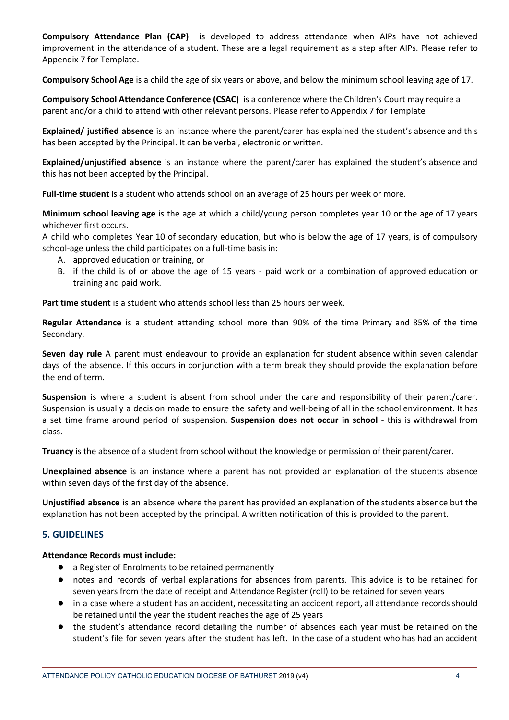**Compulsory Attendance Plan (CAP)** is developed to address attendance when AIPs have not achieved improvement in the attendance of a student. These are a legal requirement as a step after AIPs. Please refer to Appendix 7 for Template.

**Compulsory School Age** is a child the age of six years or above, and below the minimum school leaving age of 17.

**Compulsory School Attendance Conference (CSAC)** is a conference where the Children's Court may require a parent and/or a child to attend with other relevant persons. Please refer to Appendix 7 for Template

**Explained/ justified absence** is an instance where the parent/carer has explained the student's absence and this has been accepted by the Principal. It can be verbal, electronic or written.

**Explained/unjustified absence** is an instance where the parent/carer has explained the student's absence and this has not been accepted by the Principal.

**Full-time student** is a student who attends school on an average of 25 hours per week or more.

**Minimum school leaving age** is the age at which a child/young person completes year 10 or the age of 17 years whichever first occurs.

A child who completes Year 10 of secondary education, but who is below the age of 17 years, is of compulsory school-age unless the child participates on a full-time basis in:

- A. approved education or training, or
- B. if the child is of or above the age of 15 years paid work or a combination of approved education or training and paid work.

**Part time student** is a student who attends school less than 25 hours per week.

**Regular Attendance** is a student attending school more than 90% of the time Primary and 85% of the time Secondary.

**Seven day rule** A parent must endeavour to provide an explanation for student absence within seven calendar days of the absence. If this occurs in conjunction with a term break they should provide the explanation before the end of term.

**Suspension** is where a student is absent from school under the care and responsibility of their parent/carer. Suspension is usually a decision made to ensure the safety and well-being of all in the school environment. It has a set time frame around period of suspension. **Suspension does not occur in school** - this is withdrawal from class.

**Truancy** is the absence of a student from school without the knowledge or permission of their parent/carer.

**Unexplained absence** is an instance where a parent has not provided an explanation of the students absence within seven days of the first day of the absence.

**Unjustified absence** is an absence where the parent has provided an explanation of the students absence but the explanation has not been accepted by the principal. A written notification of this is provided to the parent.

# **5. GUIDELINES**

## **Attendance Records must include:**

- a Register of Enrolments to be retained permanently
- notes and records of verbal explanations for absences from parents. This advice is to be retained for seven years from the date of receipt and Attendance Register (roll) to be retained for seven years
- in a case where a student has an accident, necessitating an accident report, all attendance records should be retained until the year the student reaches the age of 25 years
- the student's attendance record detailing the number of absences each year must be retained on the student's file for seven years after the student has left. In the case of a student who has had an accident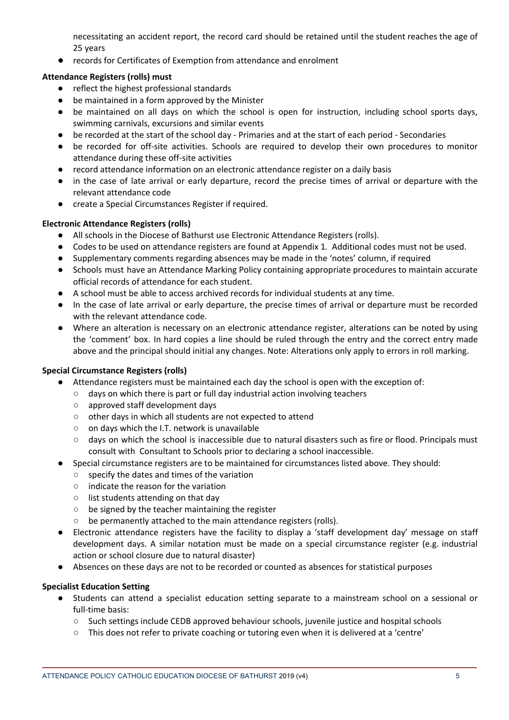necessitating an accident report, the record card should be retained until the student reaches the age of 25 years

records for Certificates of Exemption from attendance and enrolment

# **Attendance Registers (rolls) must**

- reflect the highest professional standards
- be maintained in a form approved by the Minister
- be maintained on all days on which the school is open for instruction, including school sports days, swimming carnivals, excursions and similar events
- be recorded at the start of the school day Primaries and at the start of each period Secondaries
- be recorded for off-site activities. Schools are required to develop their own procedures to monitor attendance during these off-site activities
- record attendance information on an electronic attendance register on a daily basis
- in the case of late arrival or early departure, record the precise times of arrival or departure with the relevant attendance code
- create a Special Circumstances Register if required.

## **Electronic Attendance Registers (rolls)**

- All schools in the Diocese of Bathurst use Electronic Attendance Registers (rolls).
- Codes to be used on attendance registers are found at Appendix 1. Additional codes must not be used.
- Supplementary comments regarding absences may be made in the 'notes' column, if required
- Schools must have an Attendance Marking Policy containing appropriate procedures to maintain accurate official records of attendance for each student.
- A school must be able to access archived records for individual students at any time.
- In the case of late arrival or early departure, the precise times of arrival or departure must be recorded with the relevant attendance code.
- Where an alteration is necessary on an electronic attendance register, alterations can be noted by using the 'comment' box. In hard copies a line should be ruled through the entry and the correct entry made above and the principal should initial any changes. Note: Alterations only apply to errors in roll marking.

# **Special Circumstance Registers (rolls)**

- Attendance registers must be maintained each day the school is open with the exception of:
	- days on which there is part or full day industrial action involving teachers
	- approved staff development days
	- other days in which all students are not expected to attend
	- on days which the I.T. network is unavailable
	- days on which the school is inaccessible due to natural disasters such as fire or flood. Principals must consult with Consultant to Schools prior to declaring a school inaccessible.
- Special circumstance registers are to be maintained for circumstances listed above. They should:
	- specify the dates and times of the variation
	- indicate the reason for the variation
	- list students attending on that day
	- be signed by the teacher maintaining the register
	- be permanently attached to the main attendance registers (rolls).
- Electronic attendance registers have the facility to display a 'staff development day' message on staff development days. A similar notation must be made on a special circumstance register (e.g. industrial action or school closure due to natural disaster)
- Absences on these days are not to be recorded or counted as absences for statistical purposes

## **Specialist Education Setting**

- Students can attend a specialist education setting separate to a mainstream school on a sessional or full-time basis:
	- Such settings include CEDB approved behaviour schools, juvenile justice and hospital schools
	- This does not refer to private coaching or tutoring even when it is delivered at a 'centre'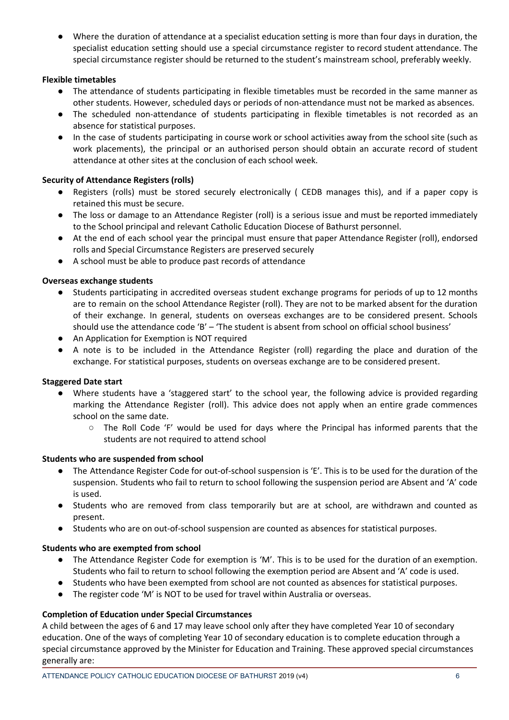Where the duration of attendance at a specialist education setting is more than four days in duration, the specialist education setting should use a special circumstance register to record student attendance. The special circumstance register should be returned to the student's mainstream school, preferably weekly.

# **Flexible timetables**

- The attendance of students participating in flexible timetables must be recorded in the same manner as other students. However, scheduled days or periods of non-attendance must not be marked as absences.
- The scheduled non-attendance of students participating in flexible timetables is not recorded as an absence for statistical purposes.
- In the case of students participating in course work or school activities away from the school site (such as work placements), the principal or an authorised person should obtain an accurate record of student attendance at other sites at the conclusion of each school week.

## **Security of Attendance Registers (rolls)**

- Registers (rolls) must be stored securely electronically ( CEDB manages this), and if a paper copy is retained this must be secure.
- The loss or damage to an Attendance Register (roll) is a serious issue and must be reported immediately to the School principal and relevant Catholic Education Diocese of Bathurst personnel.
- At the end of each school year the principal must ensure that paper Attendance Register (roll), endorsed rolls and Special Circumstance Registers are preserved securely
- A school must be able to produce past records of attendance

## **Overseas exchange students**

- Students participating in accredited overseas student exchange programs for periods of up to 12 months are to remain on the school Attendance Register (roll). They are not to be marked absent for the duration of their exchange. In general, students on overseas exchanges are to be considered present. Schools should use the attendance code 'B' - 'The student is absent from school on official school business'
- An Application for Exemption is NOT required
- A note is to be included in the Attendance Register (roll) regarding the place and duration of the exchange. For statistical purposes, students on overseas exchange are to be considered present.

## **Staggered Date start**

- Where students have a 'staggered start' to the school year, the following advice is provided regarding marking the Attendance Register (roll). This advice does not apply when an entire grade commences school on the same date.
	- The Roll Code 'F' would be used for days where the Principal has informed parents that the students are not required to attend school

## **Students who are suspended from school**

- The Attendance Register Code for out-of-school suspension is 'E'. This is to be used for the duration of the suspension. Students who fail to return to school following the suspension period are Absent and 'A' code is used.
- Students who are removed from class temporarily but are at school, are withdrawn and counted as present.
- Students who are on out-of-school suspension are counted as absences for statistical purposes.

## **Students who are exempted from school**

- The Attendance Register Code for exemption is 'M'. This is to be used for the duration of an exemption. Students who fail to return to school following the exemption period are Absent and 'A' code is used.
- Students who have been exempted from school are not counted as absences for statistical purposes.
- The register code 'M' is NOT to be used for travel within Australia or overseas.

## **Completion of Education under Special Circumstances**

A child between the ages of 6 and 17 may leave school only after they have completed Year 10 of secondary education. One of the ways of completing Year 10 of secondary education is to complete education through a special circumstance approved by the Minister for Education and Training. These approved special circumstances generally are: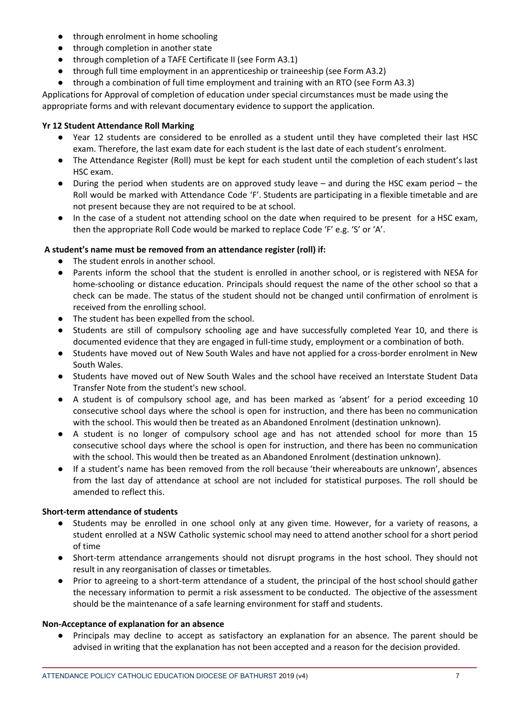- through enrolment in home schooling
- through completion in another state
- through completion of a TAFE Certificate II (see Form A3.1)
- through full time employment in an apprenticeship or traineeship (see Form A3.2)
- through a combination of full time employment and training with an RTO (see Form A3.3)

Applications for Approval of completion of education under special circumstances must be made using the appropriate forms and with relevant documentary evidence to support the application.

# **Yr 12 Student Attendance Roll Marking**

- Year 12 students are considered to be enrolled as a student until they have completed their last HSC exam. Therefore, the last exam date for each student is the last date of each student's enrolment.
- The Attendance Register (Roll) must be kept for each student until the completion of each student's last HSC exam.
- During the period when students are on approved study leave and during the HSC exam period the Roll would be marked with Attendance Code 'F'. Students are participating in a flexible timetable and are not present because they are not required to be at school.
- In the case of a student not attending school on the date when required to be present for a HSC exam, then the appropriate Roll Code would be marked to replace Code 'F' e.g. 'S' or 'A'.

# **A student's name must be removed from an attendance register (roll) if:**

- The student enrols in another school.
- Parents inform the school that the student is enrolled in another school, or is registered with NESA for home-schooling or distance education. Principals should request the name of the other school so that a check can be made. The status of the student should not be changed until confirmation of enrolment is received from the enrolling school.
- The student has been expelled from the school.
- Students are still of compulsory schooling age and have successfully completed Year 10, and there is documented evidence that they are engaged in full-time study, employment or a combination of both.
- Students have moved out of New South Wales and have not applied for a cross-border enrolment in New South Wales.
- Students have moved out of New South Wales and the school have received an Interstate Student Data Transfer Note from the student's new school.
- A student is of compulsory school age, and has been marked as 'absent' for a period exceeding 10 consecutive school days where the school is open for instruction, and there has been no communication with the school. This would then be treated as an Abandoned Enrolment (destination unknown).
- A student is no longer of compulsory school age and has not attended school for more than 15 consecutive school days where the school is open for instruction, and there has been no communication with the school. This would then be treated as an Abandoned Enrolment (destination unknown).
- If a student's name has been removed from the roll because 'their whereabouts are unknown', absences from the last day of attendance at school are not included for statistical purposes. The roll should be amended to reflect this.

# **Short-term attendance of students**

- Students may be enrolled in one school only at any given time. However, for a variety of reasons, a student enrolled at a NSW Catholic systemic school may need to attend another school for a short period of time
- Short-term attendance arrangements should not disrupt programs in the host school. They should not result in any reorganisation of classes or timetables.
- Prior to agreeing to a short-term attendance of a student, the principal of the host school should gather the necessary information to permit a risk assessment to be conducted. The objective of the assessment should be the maintenance of a safe learning environment for staff and students.

# **Non-Acceptance of explanation for an absence**

● Principals may decline to accept as satisfactory an explanation for an absence. The parent should be advised in writing that the explanation has not been accepted and a reason for the decision provided.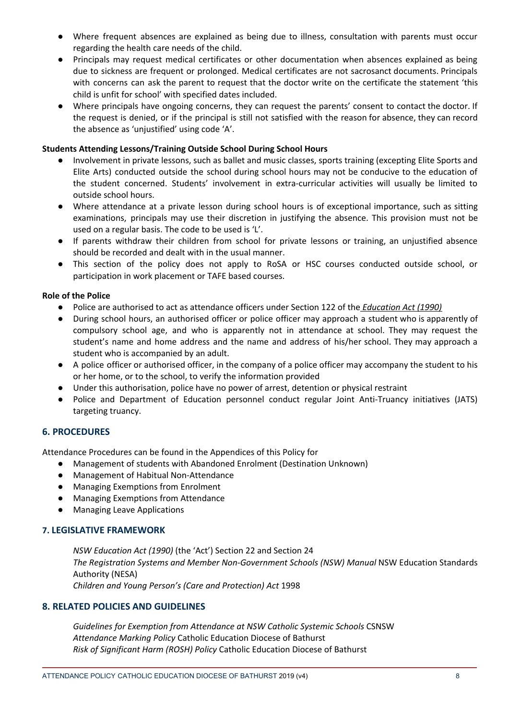- Where frequent absences are explained as being due to illness, consultation with parents must occur regarding the health care needs of the child.
- Principals may request medical certificates or other documentation when absences explained as being due to sickness are frequent or prolonged. Medical certificates are not sacrosanct documents. Principals with concerns can ask the parent to request that the doctor write on the certificate the statement 'this child is unfit for school' with specified dates included.
- Where principals have ongoing concerns, they can request the parents' consent to contact the doctor. If the request is denied, or if the principal is still not satisfied with the reason for absence, they can record the absence as 'unjustified' using code 'A'.

## **Students Attending Lessons/Training Outside School During School Hours**

- Involvement in private lessons, such as ballet and music classes, sports training (excepting Elite Sports and Elite Arts) conducted outside the school during school hours may not be conducive to the education of the student concerned. Students' involvement in extra-curricular activities will usually be limited to outside school hours.
- Where attendance at a private lesson during school hours is of exceptional importance, such as sitting examinations, principals may use their discretion in justifying the absence. This provision must not be used on a regular basis. The code to be used is 'L'.
- If parents withdraw their children from school for private lessons or training, an unjustified absence should be recorded and dealt with in the usual manner.
- This section of the policy does not apply to RoSA or HSC courses conducted outside school, or participation in work placement or TAFE based courses.

## **Role of the Police**

- Police are authorised to act as attendance officers under Section 122 of the *[Education](http://www.austlii.edu.au/au/legis/nsw/consol_act/ea1990104/) Act (1990)*
- During school hours, an authorised officer or police officer may approach a student who is apparently of compulsory school age, and who is apparently not in attendance at school. They may request the student's name and home address and the name and address of his/her school. They may approach a student who is accompanied by an adult.
- A police officer or authorised officer, in the company of a police officer may accompany the student to his or her home, or to the school, to verify the information provided
- Under this authorisation, police have no power of arrest, detention or physical restraint
- Police and Department of Education personnel conduct regular Joint Anti-Truancy initiatives (JATS) targeting truancy.

# **6. PROCEDURES**

Attendance Procedures can be found in the Appendices of this Policy for

- Management of students with Abandoned Enrolment (Destination Unknown)
- Management of Habitual Non-Attendance
- Managing Exemptions from Enrolment
- Managing Exemptions from Attendance
- Managing Leave Applications

## **7. LEGISLATIVE FRAMEWORK**

*NSW Education Act (1990)* (the 'Act') Section 22 and Section 24 *The Registration Systems and Member Non-Government Schools (NSW) Manual* NSW Education Standards Authority (NESA) *Children and Young Person's (Care and Protection) Act* 1998

## **8. RELATED POLICIES AND GUIDELINES**

*Guidelines for Exemption from Attendance at NSW Catholic Systemic Schools* CSNSW *Attendance Marking Policy* Catholic Education Diocese of Bathurst *Risk of Significant Harm (ROSH) Policy* Catholic Education Diocese of Bathurst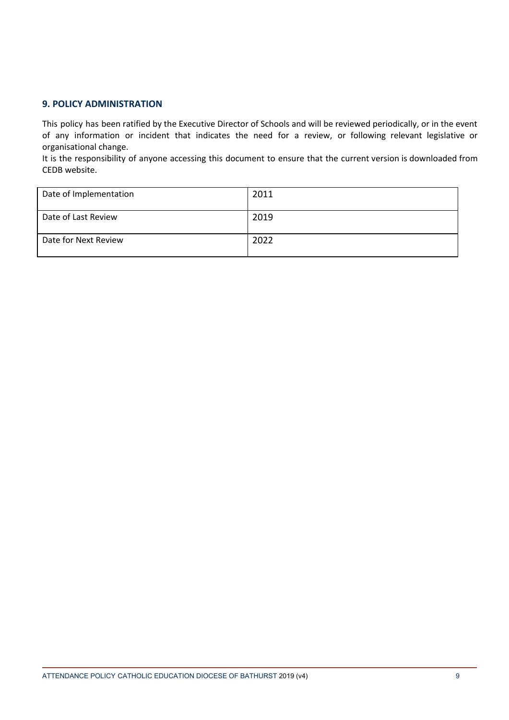## **9. POLICY ADMINISTRATION**

This policy has been ratified by the Executive Director of Schools and will be reviewed periodically, or in the event of any information or incident that indicates the need for a review, or following relevant legislative or organisational change.

It is the responsibility of anyone accessing this document to ensure that the current version is downloaded from CEDB website.

| Date of Implementation | 2011 |
|------------------------|------|
| Date of Last Review    | 2019 |
| Date for Next Review   | 2022 |